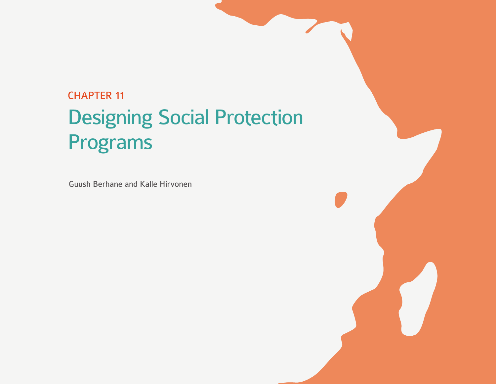# CHAPTER 11 Designing Social Protection Programs

Guush Berhane and Kalle Hirvonen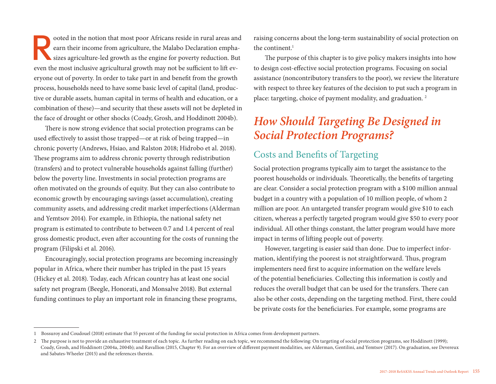ooted in the notion that most poor Africans reside in rural areas and<br>earn their income from agriculture, the Malabo Declaration emphasizes<br>agriculture-led growth as the engine for poverty reduction. But<br>we not inclusive e earn their income from agriculture, the Malabo Declaration emphasizes agriculture-led growth as the engine for poverty reduction. But even the most inclusive agricultural growth may not be sufficient to lift everyone out of poverty. In order to take part in and benefit from the growth process, households need to have some basic level of capital (land, productive or durable assets, human capital in terms of health and education, or a combination of these)—and security that these assets will not be depleted in the face of drought or other shocks (Coady, Grosh, and Hoddinott 2004b).

There is now strong evidence that social protection programs can be used effectively to assist those trapped—or at risk of being trapped—in chronic poverty (Andrews, Hsiao, and Ralston 2018; Hidrobo et al. 2018). These programs aim to address chronic poverty through redistribution (transfers) and to protect vulnerable households against falling (further) below the poverty line. Investments in social protection programs are often motivated on the grounds of equity. But they can also contribute to economic growth by encouraging savings (asset accumulation), creating community assets, and addressing credit market imperfections (Alderman and Yemtsov 2014). For example, in Ethiopia, the national safety net program is estimated to contribute to between 0.7 and 1.4 percent of real gross domestic product, even after accounting for the costs of running the program (Filipski et al. 2016).

Encouragingly, social protection programs are becoming increasingly popular in Africa, where their number has tripled in the past 15 years (Hickey et al. 2018). Today, each African country has at least one social safety net program (Beegle, Honorati, and Monsalve 2018). But external funding continues to play an important role in financing these programs,

raising concerns about the long-term sustainability of social protection on the continent.<sup>1</sup>

The purpose of this chapter is to give policy makers insights into how to design cost-effective social protection programs. Focusing on social assistance (noncontributory transfers to the poor), we review the literature with respect to three key features of the decision to put such a program in place: targeting, choice of payment modality, and graduation. 2

## *How Should Targeting Be Designed in Social Protection Programs?*

#### Costs and Benefits of Targeting

Social protection programs typically aim to target the assistance to the poorest households or individuals. Theoretically, the benefits of targeting are clear. Consider a social protection program with a \$100 million annual budget in a country with a population of 10 million people, of whom 2 million are poor. An untargeted transfer program would give \$10 to each citizen, whereas a perfectly targeted program would give \$50 to every poor individual. All other things constant, the latter program would have more impact in terms of lifting people out of poverty.

However, targeting is easier said than done. Due to imperfect information, identifying the poorest is not straightforward. Thus, program implementers need first to acquire information on the welfare levels of the potential beneficiaries. Collecting this information is costly and reduces the overall budget that can be used for the transfers. There can also be other costs, depending on the targeting method. First, there could be private costs for the beneficiaries. For example, some programs are

<sup>1</sup> Bossuroy and Coudouel (2018) estimate that 55 percent of the funding for social protection in Africa comes from development partners.

<sup>2</sup> The purpose is not to provide an exhaustive treatment of each topic. As further reading on each topic, we recommend the following: On targeting of social protection programs, see Hoddinott (1999); Coady, Grosh, and Hoddinott (2004a, 2004b); and Ravallion (2015, Chapter 9). For an overview of different payment modalities, see Alderman, Gentilini, and Yemtsov (2017). On graduation, see Devereux and Sabates-Wheeler (2015) and the references therein.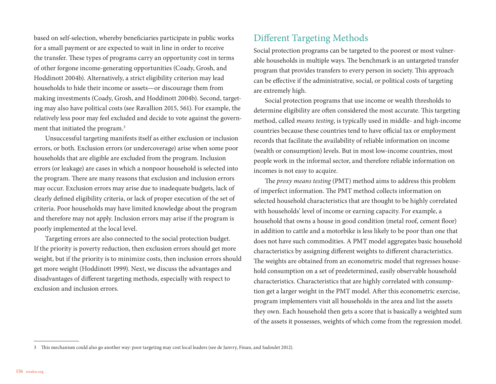based on self-selection, whereby beneficiaries participate in public works for a small payment or are expected to wait in line in order to receive the transfer. These types of programs carry an opportunity cost in terms of other forgone income-generating opportunities (Coady, Grosh, and Hoddinott 2004b). Alternatively, a strict eligibility criterion may lead households to hide their income or assets—or discourage them from making investments (Coady, Grosh, and Hoddinott 2004b). Second, targeting may also have political costs (see Ravallion 2015, 561). For example, the relatively less poor may feel excluded and decide to vote against the government that initiated the program.<sup>3</sup>

Unsuccessful targeting manifests itself as either exclusion or inclusion errors, or both. Exclusion errors (or undercoverage) arise when some poor households that are eligible are excluded from the program. Inclusion errors (or leakage) are cases in which a nonpoor household is selected into the program. There are many reasons that exclusion and inclusion errors may occur. Exclusion errors may arise due to inadequate budgets, lack of clearly defined eligibility criteria, or lack of proper execution of the set of criteria. Poor households may have limited knowledge about the program and therefore may not apply. Inclusion errors may arise if the program is poorly implemented at the local level.

Targeting errors are also connected to the social protection budget. If the priority is poverty reduction, then exclusion errors should get more weight, but if the priority is to minimize costs, then inclusion errors should get more weight (Hoddinott 1999). Next, we discuss the advantages and disadvantages of different targeting methods, especially with respect to exclusion and inclusion errors.

#### Different Targeting Methods

Social protection programs can be targeted to the poorest or most vulnerable households in multiple ways. The benchmark is an untargeted transfer program that provides transfers to every person in society. This approach can be effective if the administrative, social, or political costs of targeting are extremely high.

Social protection programs that use income or wealth thresholds to determine eligibility are often considered the most accurate. This targeting method, called *means testing*, is typically used in middle- and high-income countries because these countries tend to have official tax or employment records that facilitate the availability of reliable information on income (wealth or consumption) levels. But in most low-income countries, most people work in the informal sector, and therefore reliable information on incomes is not easy to acquire.

The *proxy means testing* (PMT) method aims to address this problem of imperfect information. The PMT method collects information on selected household characteristics that are thought to be highly correlated with households' level of income or earning capacity. For example, a household that owns a house in good condition (metal roof, cement floor) in addition to cattle and a motorbike is less likely to be poor than one that does not have such commodities. A PMT model aggregates basic household characteristics by assigning different weights to different characteristics. The weights are obtained from an econometric model that regresses household consumption on a set of predetermined, easily observable household characteristics. Characteristics that are highly correlated with consumption get a larger weight in the PMT model. After this econometric exercise, program implementers visit all households in the area and list the assets they own. Each household then gets a score that is basically a weighted sum of the assets it possesses, weights of which come from the regression model.

<sup>3</sup> This mechanism could also go another way: poor targeting may cost local leaders (see de Janvry, Finan, and Sadoulet 2012).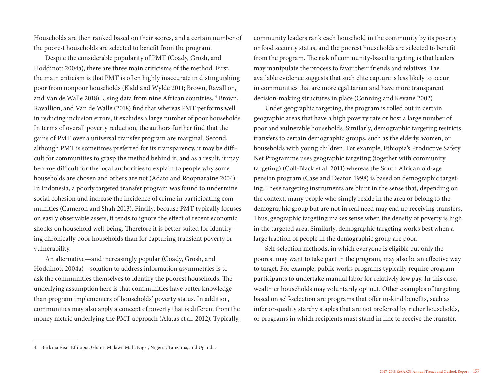Households are then ranked based on their scores, and a certain number of the poorest households are selected to benefit from the program.

Despite the considerable popularity of PMT (Coady, Grosh, and Hoddinott 2004a), there are three main criticisms of the method. First, the main criticism is that PMT is often highly inaccurate in distinguishing poor from nonpoor households (Kidd and Wylde 2011; Brown, Ravallion, and Van de Walle 2018). Using data from nine African countries, <sup>4</sup> Brown, Ravallion, and Van de Walle (2018) find that whereas PMT performs well in reducing inclusion errors, it excludes a large number of poor households. In terms of overall poverty reduction, the authors further find that the gains of PMT over a universal transfer program are marginal. Second, although PMT is sometimes preferred for its transparency, it may be difficult for communities to grasp the method behind it, and as a result, it may become difficult for the local authorities to explain to people why some households are chosen and others are not (Adato and Roopnaraine 2004). In Indonesia, a poorly targeted transfer program was found to undermine social cohesion and increase the incidence of crime in participating communities (Cameron and Shah 2013). Finally, because PMT typically focuses on easily observable assets, it tends to ignore the effect of recent economic shocks on household well-being. Therefore it is better suited for identifying chronically poor households than for capturing transient poverty or vulnerability.

An alternative—and increasingly popular (Coady, Grosh, and Hoddinott 2004a)—solution to address information asymmetries is to ask the communities themselves to identify the poorest households. The underlying assumption here is that communities have better knowledge than program implementers of households' poverty status. In addition, communities may also apply a concept of poverty that is different from the money metric underlying the PMT approach (Alatas et al. 2012). Typically, community leaders rank each household in the community by its poverty or food security status, and the poorest households are selected to benefit from the program. The risk of community-based targeting is that leaders may manipulate the process to favor their friends and relatives. The available evidence suggests that such elite capture is less likely to occur in communities that are more egalitarian and have more transparent decision-making structures in place (Conning and Kevane 2002).

Under geographic targeting, the program is rolled out in certain geographic areas that have a high poverty rate or host a large number of poor and vulnerable households. Similarly, demographic targeting restricts transfers to certain demographic groups, such as the elderly, women, or households with young children. For example, Ethiopia's Productive Safety Net Programme uses geographic targeting (together with community targeting) (Coll-Black et al. 2011) whereas the South African old-age pension program (Case and Deaton 1998) is based on demographic targeting. These targeting instruments are blunt in the sense that, depending on the context, many people who simply reside in the area or belong to the demographic group but are not in real need may end up receiving transfers. Thus, geographic targeting makes sense when the density of poverty is high in the targeted area. Similarly, demographic targeting works best when a large fraction of people in the demographic group are poor.

Self-selection methods, in which everyone is eligible but only the poorest may want to take part in the program, may also be an effective way to target. For example, public works programs typically require program participants to undertake manual labor for relatively low pay. In this case, wealthier households may voluntarily opt out. Other examples of targeting based on self-selection are programs that offer in-kind benefits, such as inferior-quality starchy staples that are not preferred by richer households, or programs in which recipients must stand in line to receive the transfer.

<sup>4</sup> Burkina Faso, Ethiopia, Ghana, Malawi, Mali, Niger, Nigeria, Tanzania, and Uganda.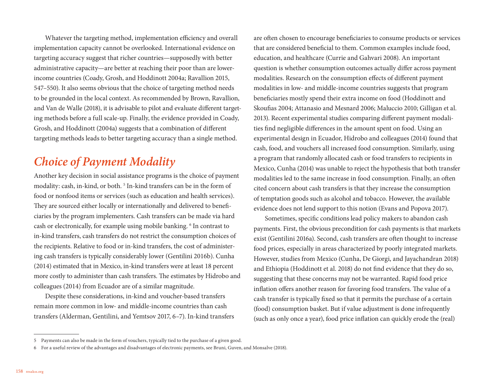Whatever the targeting method, implementation efficiency and overall implementation capacity cannot be overlooked. International evidence on targeting accuracy suggest that richer countries—supposedly with better administrative capacity—are better at reaching their poor than are lowerincome countries (Coady, Grosh, and Hoddinott 2004a; Ravallion 2015, 547–550). It also seems obvious that the choice of targeting method needs to be grounded in the local context. As recommended by Brown, Ravallion, and Van de Walle (2018), it is advisable to pilot and evaluate different targeting methods before a full scale-up. Finally, the evidence provided in Coady, Grosh, and Hoddinott (2004a) suggests that a combination of different targeting methods leads to better targeting accuracy than a single method.

## *Choice of Payment Modality*

Another key decision in social assistance programs is the choice of payment modality: cash, in-kind, or both.<sup>5</sup> In-kind transfers can be in the form of food or nonfood items or services (such as education and health services). They are sourced either locally or internationally and delivered to beneficiaries by the program implementers. Cash transfers can be made via hard cash or electronically, for example using mobile banking. <sup>6</sup> In contrast to in-kind transfers, cash transfers do not restrict the consumption choices of the recipients. Relative to food or in-kind transfers, the cost of administering cash transfers is typically considerably lower (Gentilini 2016b). Cunha (2014) estimated that in Mexico, in-kind transfers were at least 18 percent more costly to administer than cash transfers. The estimates by Hidrobo and colleagues (2014) from Ecuador are of a similar magnitude.

Despite these considerations, in-kind and voucher-based transfers remain more common in low- and middle-income countries than cash transfers (Alderman, Gentilini, and Yemtsov 2017, 6–7). In-kind transfers

are often chosen to encourage beneficiaries to consume products or services that are considered beneficial to them. Common examples include food, education, and healthcare (Currie and Gahvari 2008). An important question is whether consumption outcomes actually differ across payment modalities. Research on the consumption effects of different payment modalities in low- and middle-income countries suggests that program beneficiaries mostly spend their extra income on food (Hoddinott and Skoufias 2004; Attanasio and Mesnard 2006; Maluccio 2010; Gilligan et al. 2013). Recent experimental studies comparing different payment modalities find negligible differences in the amount spent on food. Using an experimental design in Ecuador, Hidrobo and colleagues (2014) found that cash, food, and vouchers all increased food consumption. Similarly, using a program that randomly allocated cash or food transfers to recipients in Mexico, Cunha (2014) was unable to reject the hypothesis that both transfer modalities led to the same increase in food consumption. Finally, an often cited concern about cash transfers is that they increase the consumption of temptation goods such as alcohol and tobacco. However, the available evidence does not lend support to this notion (Evans and Popova 2017).

Sometimes, specific conditions lead policy makers to abandon cash payments. First, the obvious precondition for cash payments is that markets exist (Gentilini 2016a). Second, cash transfers are often thought to increase food prices, especially in areas characterized by poorly integrated markets. However, studies from Mexico (Cunha, De Giorgi, and Jayachandran 2018) and Ethiopia (Hoddinott et al. 2018) do not find evidence that they do so, suggesting that these concerns may not be warranted. Rapid food price inflation offers another reason for favoring food transfers. The value of a cash transfer is typically fixed so that it permits the purchase of a certain (food) consumption basket. But if value adjustment is done infrequently (such as only once a year), food price inflation can quickly erode the (real)

<sup>5</sup> Payments can also be made in the form of vouchers, typically tied to the purchase of a given good.

<sup>6</sup> For a useful review of the advantages and disadvantages of electronic payments, see Bruni, Guven, and Monsalve (2018).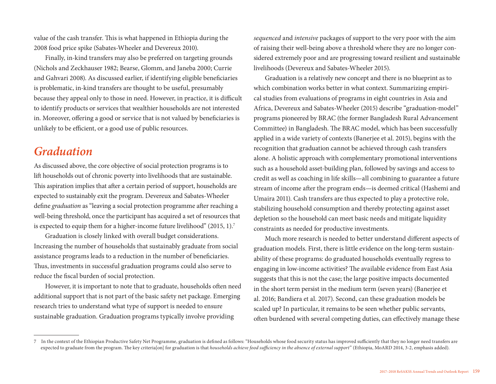value of the cash transfer. This is what happened in Ethiopia during the 2008 food price spike (Sabates-Wheeler and Devereux 2010).

Finally, in-kind transfers may also be preferred on targeting grounds (Nichols and Zeckhauser 1982; Bearse, Glomm, and Janeba 2000; Currie and Gahvari 2008). As discussed earlier, if identifying eligible beneficiaries is problematic, in-kind transfers are thought to be useful, presumably because they appeal only to those in need. However, in practice, it is difficult to identify products or services that wealthier households are not interested in. Moreover, offering a good or service that is not valued by beneficiaries is unlikely to be efficient, or a good use of public resources.

### *Graduation*

As discussed above, the core objective of social protection programs is to lift households out of chronic poverty into livelihoods that are sustainable. This aspiration implies that after a certain period of support, households are expected to sustainably exit the program. Devereux and Sabates-Wheeler define *graduation* as "leaving a social protection programme after reaching a well-being threshold, once the participant has acquired a set of resources that is expected to equip them for a higher-income future livelihood" (2015, 1).7

Graduation is closely linked with overall budget considerations. Increasing the number of households that sustainably graduate from social assistance programs leads to a reduction in the number of beneficiaries. Thus, investments in successful graduation programs could also serve to reduce the fiscal burden of social protection.

However, it is important to note that to graduate, households often need additional support that is not part of the basic safety net package. Emerging research tries to understand what type of support is needed to ensure sustainable graduation. Graduation programs typically involve providing

*sequenced* and *intensive* packages of support to the very poor with the aim of raising their well-being above a threshold where they are no longer considered extremely poor and are progressing toward resilient and sustainable livelihoods (Devereux and Sabates-Wheeler 2015).

Graduation is a relatively new concept and there is no blueprint as to which combination works better in what context. Summarizing empirical studies from evaluations of programs in eight countries in Asia and Africa, Devereux and Sabates-Wheeler (2015) describe "graduation-model" programs pioneered by BRAC (the former Bangladesh Rural Advancement Committee) in Bangladesh. The BRAC model, which has been successfully applied in a wide variety of contexts (Banerjee et al. 2015), begins with the recognition that graduation cannot be achieved through cash transfers alone. A holistic approach with complementary promotional interventions such as a household asset-building plan, followed by savings and access to credit as well as coaching in life skills—all combining to guarantee a future stream of income after the program ends—is deemed critical (Hashemi and Umaira 2011). Cash transfers are thus expected to play a protective role, stabilizing household consumption and thereby protecting against asset depletion so the household can meet basic needs and mitigate liquidity constraints as needed for productive investments.

Much more research is needed to better understand different aspects of graduation models. First, there is little evidence on the long-term sustainability of these programs: do graduated households eventually regress to engaging in low-income activities? The available evidence from East Asia suggests that this is not the case; the large positive impacts documented in the short term persist in the medium term (seven years) (Banerjee et al. 2016; Bandiera et al. 2017). Second, can these graduation models be scaled up? In particular, it remains to be seen whether public servants, often burdened with several competing duties, can effectively manage these

<sup>7</sup> In the context of the Ethiopian Productive Safety Net Programme, graduation is defined as follows: "Households whose food security status has improved sufficiently that they no longer need transfers are expected to graduate from the program. The key criteria[on] for graduation is that *households achieve food sufficiency in the absence of external support*" (Ethiopia, MoARD 2014, 3-2, emphasis added).